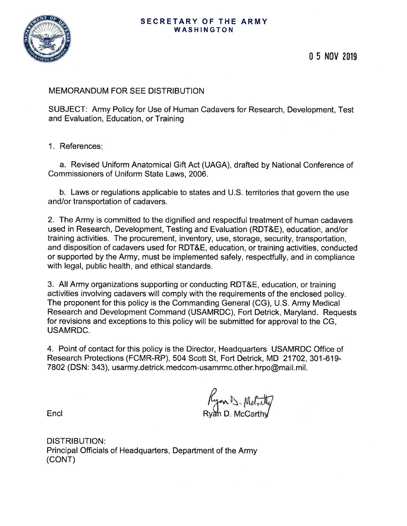#### SECRETARY OF THE ARMY WASHINGTON



0 5 NOV 2019

# MEMORANDUM FOR SEE DISTRIBUTION

SUBJECT: Army Policy for Use of Human Cadavers for Research, Development, Test and Evaluation, Education, or Training

## 1. References:

a. Revised Uniform Anatomical Gift Act (UAGA), drafted by National Conference of Commissioners of Uniform State Laws, 2006.

b. Laws or regulations applicable to states and U.S. territories that govern the use and/or transportation of cadavers.

2. The Army is committed to the dignified and respectful treatment of human cadavers used in Research, Development, Testing and Evaluation (RDT&E), education, and/or training activities. The procurement, inventory, use, storage, security, transportation, and disposition of cadavers used for RDT&E, education, or training activities, conducted or supported by the Army, must be implemented safely, respectfully, and in compliance with legal, public health, and ethical standards.

3. All Army organizations supporting or conducting RDT&E, education, or training activities involving cadavers will comply with the requirements of the enclosed policy. The proponent for this policy is the Commanding General (CG), U.S. Army Medical Research and Development Command (USAMRDC), Fort Detrick, Maryland. Requests for revisions and exceptions to this policy will be submitted for approval to the CG, **USAMRDC.** 

4. Point of contact for this policy is the Director, Headquarters USAMRDC Office of Research Protections (FCMR-RP), 504 Scott St, Fort Detrick, MD 21702, 301-619-7802 (DSN: 343), usarmy.detrick.medcom-usamrmc.other.hrpo@mail.mil.

Kyon D. Metally<br>Rvan D. McCarthy

Encl

**DISTRIBUTION:** Principal Officials of Headquarters, Department of the Army (CONT)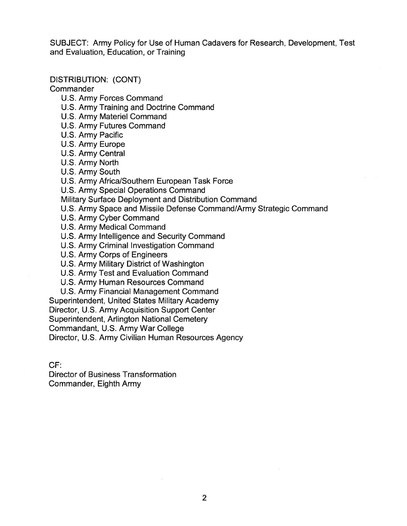SUBJECT: Army Policy for Use of Human Cadavers for Research, Development, Test and Evaluation, Education, or Training

**DISTRIBUTION: (CONT)** 

Commander

- U.S. Army Forces Command
- U.S. Army Training and Doctrine Command
- U.S. Army Materiel Command
- U.S. Army Futures Command
- U.S. Army Pacific
- U.S. Army Europe
- U.S. Army Central
- U.S. Army North
- U.S. Army South
- U.S. Army Africa/Southern European Task Force
- U.S. Army Special Operations Command
- Military Surface Deployment and Distribution Command
- U.S. Army Space and Missile Defense Command/Army Strategic Command
- U.S. Army Cyber Command
- U.S. Army Medical Command
- U.S. Army Intelligence and Security Command
- U.S. Army Criminal Investigation Command
- U.S. Army Corps of Engineers
- U.S. Army Military District of Washington
- U.S. Army Test and Evaluation Command
- U.S. Army Human Resources Command
- U.S. Army Financial Management Command
- Superintendent, United States Military Academy
- Director, U.S. Army Acquisition Support Center

Superintendent, Arlington National Cemetery

Commandant, U.S. Army War College

Director, U.S. Army Civilian Human Resources Agency

 $CF:$ 

**Director of Business Transformation** Commander, Eighth Army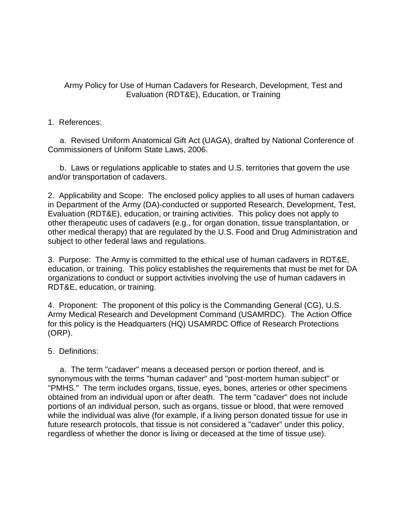# Army Policy for Use of Human Cadavers for Research, Development, Test and Evaluation (RDT&E), Education, or Training

## 1. References:

a. Revised Uniform Anatomical Gift Act (UAGA), drafted by National Conference of Commissioners of Uniform State Laws, 2006.

b. Laws or regulations applicable to states and U.S. territories that govern the use and/or transportation of cadavers.

2. Applicability and Scope: The enclosed policy applies to all uses of human cadavers in Department of the Army (DA)-conducted or supported Research, Development, Test, Evaluation (RDT&E), education, or training activities. This policy does not apply to other therapeutic uses of cadavers (e.g., for organ donation, tissue transplantation, or other medical therapy) that are regulated by the U.S. Food and Drug Administration and subject to other federal laws and regulations.

3. Purpose: The Army is committed to the ethical use of human cadavers in RDT&E, education, or training. This policy establishes the requirements that must be met for DA organizations to conduct or support activities involving the use of human cadavers in RDT&E, education, or training.

4. Proponent: The proponent of this policy is the Commanding General (CG), U.S. Army Medical Research and Development Command (USAMRDC). The Action Office for this policy is the Headquarters (HQ) USAMRDC Office of Research Protections (ORP).

# 5. Definitions:

 a. The term "cadaver" means a deceased person or portion thereof, and is synonymous with the terms "human cadaver" and "post-mortem human subject" or "PMHS." The term includes organs, tissue, eyes, bones, arteries or other specimens obtained from an individual upon or after death. The term "cadaver" does not include portions of an individual person, such as organs, tissue or blood, that were removed while the individual was alive (for example, if a living person donated tissue for use in future research protocols, that tissue is not considered a "cadaver" under this policy, regardless of whether the donor is living or deceased at the time of tissue use).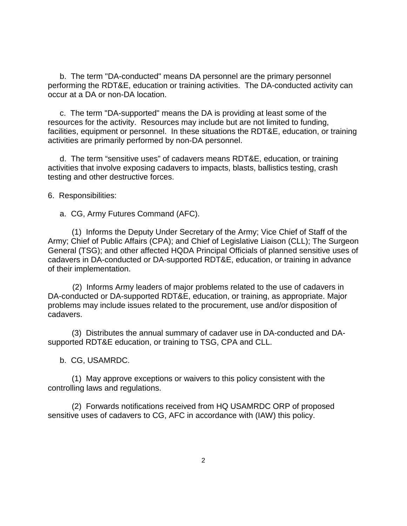b. The term "DA-conducted" means DA personnel are the primary personnel performing the RDT&E, education or training activities. The DA-conducted activity can occur at a DA or non-DA location.

 c. The term "DA-supported" means the DA is providing at least some of the resources for the activity. Resources may include but are not limited to funding, facilities, equipment or personnel. In these situations the RDT&E, education, or training activities are primarily performed by non-DA personnel.

 d. The term "sensitive uses" of cadavers means RDT&E, education, or training activities that involve exposing cadavers to impacts, blasts, ballistics testing, crash testing and other destructive forces.

6. Responsibilities:

a. CG, Army Futures Command (AFC).

(1) Informs the Deputy Under Secretary of the Army; Vice Chief of Staff of the Army; Chief of Public Affairs (CPA); and Chief of Legislative Liaison (CLL); The Surgeon General (TSG); and other affected HQDA Principal Officials of planned sensitive uses of cadavers in DA-conducted or DA-supported RDT&E, education, or training in advance of their implementation.

 (2) Informs Army leaders of major problems related to the use of cadavers in DA-conducted or DA-supported RDT&E, education, or training, as appropriate. Major problems may include issues related to the procurement, use and/or disposition of cadavers.

(3) Distributes the annual summary of cadaver use in DA-conducted and DAsupported RDT&E education, or training to TSG, CPA and CLL.

b. CG, USAMRDC.

(1) May approve exceptions or waivers to this policy consistent with the controlling laws and regulations.

(2) Forwards notifications received from HQ USAMRDC ORP of proposed sensitive uses of cadavers to CG, AFC in accordance with (IAW) this policy.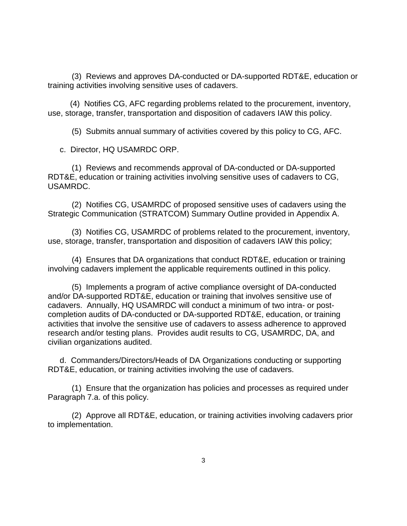(3) Reviews and approves DA-conducted or DA-supported RDT&E, education or training activities involving sensitive uses of cadavers.

 (4) Notifies CG, AFC regarding problems related to the procurement, inventory, use, storage, transfer, transportation and disposition of cadavers IAW this policy.

(5) Submits annual summary of activities covered by this policy to CG, AFC.

c. Director, HQ USAMRDC ORP.

(1) Reviews and recommends approval of DA-conducted or DA-supported RDT&E, education or training activities involving sensitive uses of cadavers to CG, USAMRDC.

(2) Notifies CG, USAMRDC of proposed sensitive uses of cadavers using the Strategic Communication (STRATCOM) Summary Outline provided in Appendix A.

(3) Notifies CG, USAMRDC of problems related to the procurement, inventory, use, storage, transfer, transportation and disposition of cadavers IAW this policy;

(4) Ensures that DA organizations that conduct RDT&E, education or training involving cadavers implement the applicable requirements outlined in this policy.

(5) Implements a program of active compliance oversight of DA-conducted and/or DA-supported RDT&E, education or training that involves sensitive use of cadavers. Annually, HQ USAMRDC will conduct a minimum of two intra- or postcompletion audits of DA-conducted or DA-supported RDT&E, education, or training activities that involve the sensitive use of cadavers to assess adherence to approved research and/or testing plans. Provides audit results to CG, USAMRDC, DA, and civilian organizations audited.

d. Commanders/Directors/Heads of DA Organizations conducting or supporting RDT&E, education, or training activities involving the use of cadavers.

(1) Ensure that the organization has policies and processes as required under Paragraph 7.a. of this policy.

(2) Approve all RDT&E, education, or training activities involving cadavers prior to implementation.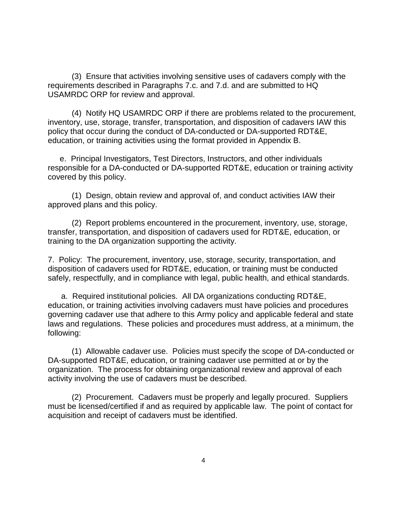(3) Ensure that activities involving sensitive uses of cadavers comply with the requirements described in Paragraphs 7.c. and 7.d. and are submitted to HQ USAMRDC ORP for review and approval.

(4) Notify HQ USAMRDC ORP if there are problems related to the procurement, inventory, use, storage, transfer, transportation, and disposition of cadavers IAW this policy that occur during the conduct of DA-conducted or DA-supported RDT&E, education, or training activities using the format provided in Appendix B.

e. Principal Investigators, Test Directors, Instructors, and other individuals responsible for a DA-conducted or DA-supported RDT&E, education or training activity covered by this policy.

(1) Design, obtain review and approval of, and conduct activities IAW their approved plans and this policy.

(2) Report problems encountered in the procurement, inventory, use, storage, transfer, transportation, and disposition of cadavers used for RDT&E, education, or training to the DA organization supporting the activity.

7. Policy: The procurement, inventory, use, storage, security, transportation, and disposition of cadavers used for RDT&E, education, or training must be conducted safely, respectfully, and in compliance with legal, public health, and ethical standards.

 a. Required institutional policies. All DA organizations conducting RDT&E, education, or training activities involving cadavers must have policies and procedures governing cadaver use that adhere to this Army policy and applicable federal and state laws and regulations. These policies and procedures must address, at a minimum, the following:

(1) Allowable cadaver use. Policies must specify the scope of DA-conducted or DA-supported RDT&E, education, or training cadaver use permitted at or by the organization. The process for obtaining organizational review and approval of each activity involving the use of cadavers must be described.

(2) Procurement. Cadavers must be properly and legally procured. Suppliers must be licensed/certified if and as required by applicable law. The point of contact for acquisition and receipt of cadavers must be identified.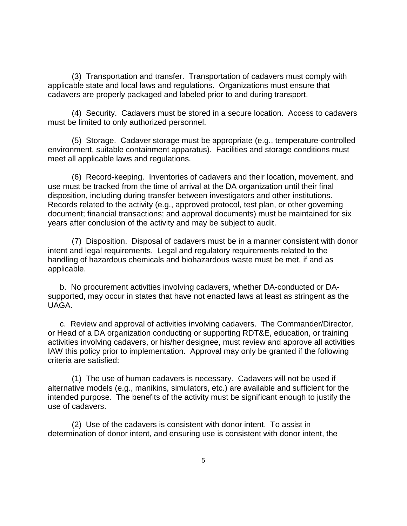(3) Transportation and transfer. Transportation of cadavers must comply with applicable state and local laws and regulations. Organizations must ensure that cadavers are properly packaged and labeled prior to and during transport.

(4) Security. Cadavers must be stored in a secure location. Access to cadavers must be limited to only authorized personnel.

(5) Storage. Cadaver storage must be appropriate (e.g., temperature-controlled environment, suitable containment apparatus). Facilities and storage conditions must meet all applicable laws and regulations.

(6) Record-keeping. Inventories of cadavers and their location, movement, and use must be tracked from the time of arrival at the DA organization until their final disposition, including during transfer between investigators and other institutions. Records related to the activity (e.g., approved protocol, test plan, or other governing document; financial transactions; and approval documents) must be maintained for six years after conclusion of the activity and may be subject to audit.

(7) Disposition. Disposal of cadavers must be in a manner consistent with donor intent and legal requirements. Legal and regulatory requirements related to the handling of hazardous chemicals and biohazardous waste must be met, if and as applicable.

b. No procurement activities involving cadavers, whether DA-conducted or DAsupported, may occur in states that have not enacted laws at least as stringent as the UAGA.

c. Review and approval of activities involving cadavers. The Commander/Director, or Head of a DA organization conducting or supporting RDT&E, education, or training activities involving cadavers, or his/her designee, must review and approve all activities IAW this policy prior to implementation. Approval may only be granted if the following criteria are satisfied:

(1) The use of human cadavers is necessary. Cadavers will not be used if alternative models (e.g., manikins, simulators, etc.) are available and sufficient for the intended purpose. The benefits of the activity must be significant enough to justify the use of cadavers.

(2) Use of the cadavers is consistent with donor intent. To assist in determination of donor intent, and ensuring use is consistent with donor intent, the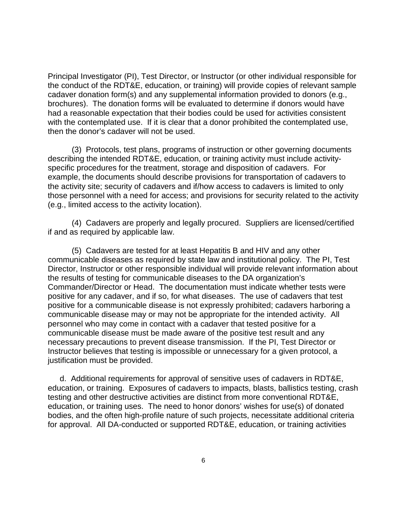Principal Investigator (PI), Test Director, or Instructor (or other individual responsible for the conduct of the RDT&E, education, or training) will provide copies of relevant sample cadaver donation form(s) and any supplemental information provided to donors (e.g., brochures). The donation forms will be evaluated to determine if donors would have had a reasonable expectation that their bodies could be used for activities consistent with the contemplated use. If it is clear that a donor prohibited the contemplated use, then the donor's cadaver will not be used.

(3) Protocols, test plans, programs of instruction or other governing documents describing the intended RDT&E, education, or training activity must include activityspecific procedures for the treatment, storage and disposition of cadavers. For example, the documents should describe provisions for transportation of cadavers to the activity site; security of cadavers and if/how access to cadavers is limited to only those personnel with a need for access; and provisions for security related to the activity (e.g., limited access to the activity location).

(4) Cadavers are properly and legally procured. Suppliers are licensed/certified if and as required by applicable law.

(5) Cadavers are tested for at least Hepatitis B and HIV and any other communicable diseases as required by state law and institutional policy. The PI, Test Director, Instructor or other responsible individual will provide relevant information about the results of testing for communicable diseases to the DA organization's Commander/Director or Head. The documentation must indicate whether tests were positive for any cadaver, and if so, for what diseases. The use of cadavers that test positive for a communicable disease is not expressly prohibited; cadavers harboring a communicable disease may or may not be appropriate for the intended activity. All personnel who may come in contact with a cadaver that tested positive for a communicable disease must be made aware of the positive test result and any necessary precautions to prevent disease transmission. If the PI, Test Director or Instructor believes that testing is impossible or unnecessary for a given protocol, a justification must be provided.

 d. Additional requirements for approval of sensitive uses of cadavers in RDT&E, education, or training. Exposures of cadavers to impacts, blasts, ballistics testing, crash testing and other destructive activities are distinct from more conventional RDT&E, education, or training uses. The need to honor donors' wishes for use(s) of donated bodies, and the often high-profile nature of such projects, necessitate additional criteria for approval. All DA-conducted or supported RDT&E, education, or training activities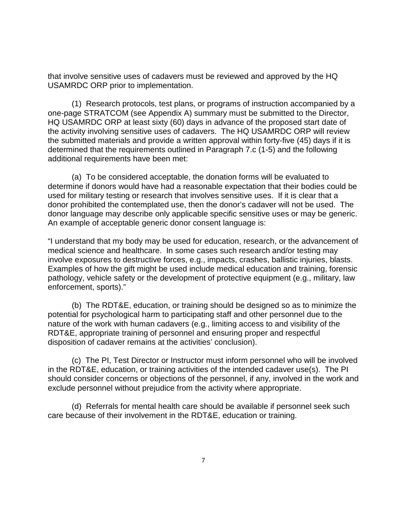that involve sensitive uses of cadavers must be reviewed and approved by the HQ USAMRDC ORP prior to implementation.

 (1) Research protocols, test plans, or programs of instruction accompanied by a one-page STRATCOM (see Appendix A) summary must be submitted to the Director, HQ USAMRDC ORP at least sixty (60) days in advance of the proposed start date of the activity involving sensitive uses of cadavers. The HQ USAMRDC ORP will review the submitted materials and provide a written approval within forty-five (45) days if it is determined that the requirements outlined in Paragraph 7.c (1-5) and the following additional requirements have been met:

 (a) To be considered acceptable, the donation forms will be evaluated to determine if donors would have had a reasonable expectation that their bodies could be used for military testing or research that involves sensitive uses. If it is clear that a donor prohibited the contemplated use, then the donor's cadaver will not be used. The donor language may describe only applicable specific sensitive uses or may be generic. An example of acceptable generic donor consent language is:

"I understand that my body may be used for education, research, or the advancement of medical science and healthcare. In some cases such research and/or testing may involve exposures to destructive forces, e.g., impacts, crashes, ballistic injuries, blasts. Examples of how the gift might be used include medical education and training, forensic pathology, vehicle safety or the development of protective equipment (e.g., military, law enforcement, sports)."

(b) The RDT&E, education, or training should be designed so as to minimize the potential for psychological harm to participating staff and other personnel due to the nature of the work with human cadavers (e.g., limiting access to and visibility of the RDT&E, appropriate training of personnel and ensuring proper and respectful disposition of cadaver remains at the activities' conclusion).

 (c) The PI, Test Director or Instructor must inform personnel who will be involved in the RDT&E, education, or training activities of the intended cadaver use(s). The PI should consider concerns or objections of the personnel, if any, involved in the work and exclude personnel without prejudice from the activity where appropriate.

 (d) Referrals for mental health care should be available if personnel seek such care because of their involvement in the RDT&E, education or training.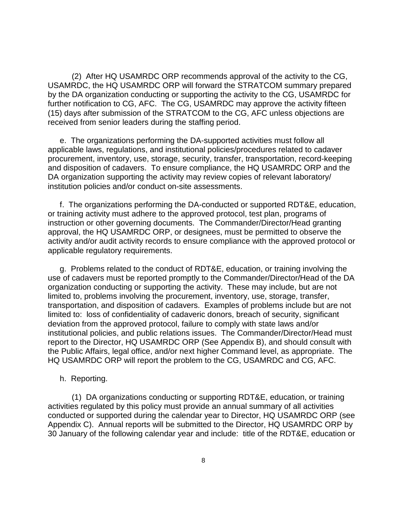(2) After HQ USAMRDC ORP recommends approval of the activity to the CG, USAMRDC, the HQ USAMRDC ORP will forward the STRATCOM summary prepared by the DA organization conducting or supporting the activity to the CG, USAMRDC for further notification to CG, AFC. The CG, USAMRDC may approve the activity fifteen (15) days after submission of the STRATCOM to the CG, AFC unless objections are received from senior leaders during the staffing period.

 e. The organizations performing the DA-supported activities must follow all applicable laws, regulations, and institutional policies/procedures related to cadaver procurement, inventory, use, storage, security, transfer, transportation, record-keeping and disposition of cadavers. To ensure compliance, the HQ USAMRDC ORP and the DA organization supporting the activity may review copies of relevant laboratory/ institution policies and/or conduct on-site assessments.

 f. The organizations performing the DA-conducted or supported RDT&E, education, or training activity must adhere to the approved protocol, test plan, programs of instruction or other governing documents. The Commander/Director/Head granting approval, the HQ USAMRDC ORP, or designees, must be permitted to observe the activity and/or audit activity records to ensure compliance with the approved protocol or applicable regulatory requirements.

g. Problems related to the conduct of RDT&E, education, or training involving the use of cadavers must be reported promptly to the Commander/Director/Head of the DA organization conducting or supporting the activity. These may include, but are not limited to, problems involving the procurement, inventory, use, storage, transfer, transportation, and disposition of cadavers. Examples of problems include but are not limited to: loss of confidentiality of cadaveric donors, breach of security, significant deviation from the approved protocol, failure to comply with state laws and/or institutional policies, and public relations issues. The Commander/Director/Head must report to the Director, HQ USAMRDC ORP (See Appendix B), and should consult with the Public Affairs, legal office, and/or next higher Command level, as appropriate. The HQ USAMRDC ORP will report the problem to the CG, USAMRDC and CG, AFC.

#### h. Reporting.

 (1) DA organizations conducting or supporting RDT&E, education, or training activities regulated by this policy must provide an annual summary of all activities conducted or supported during the calendar year to Director, HQ USAMRDC ORP (see Appendix C). Annual reports will be submitted to the Director, HQ USAMRDC ORP by 30 January of the following calendar year and include: title of the RDT&E, education or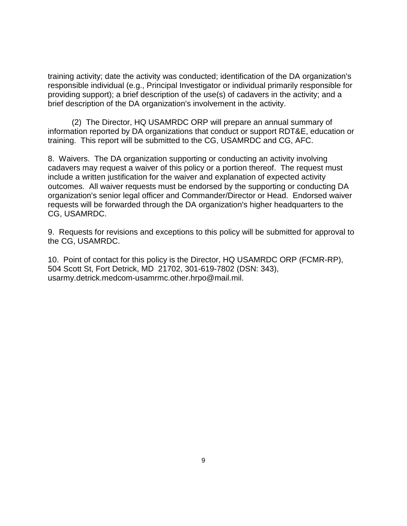training activity; date the activity was conducted; identification of the DA organization's responsible individual (e.g., Principal Investigator or individual primarily responsible for providing support); a brief description of the use(s) of cadavers in the activity; and a brief description of the DA organization's involvement in the activity.

 (2) The Director, HQ USAMRDC ORP will prepare an annual summary of information reported by DA organizations that conduct or support RDT&E, education or training. This report will be submitted to the CG, USAMRDC and CG, AFC.

8. Waivers. The DA organization supporting or conducting an activity involving cadavers may request a waiver of this policy or a portion thereof. The request must include a written justification for the waiver and explanation of expected activity outcomes. All waiver requests must be endorsed by the supporting or conducting DA organization's senior legal officer and Commander/Director or Head. Endorsed waiver requests will be forwarded through the DA organization's higher headquarters to the CG, USAMRDC.

9. Requests for revisions and exceptions to this policy will be submitted for approval to the CG, USAMRDC.

10. Point of contact for this policy is the Director, HQ USAMRDC ORP (FCMR-RP), 504 Scott St, Fort Detrick, MD 21702, 301-619-7802 (DSN: 343), usarmy.detrick.medcom-usamrmc.other.hrpo@mail.mil.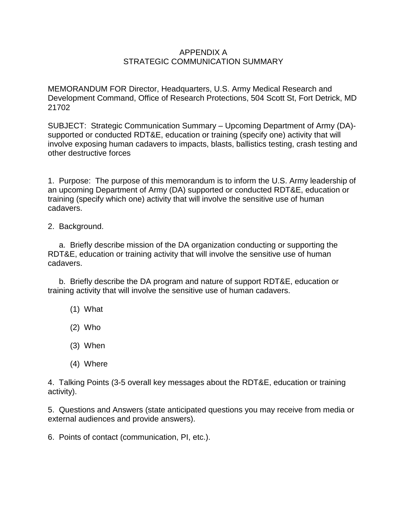### APPENDIX A STRATEGIC COMMUNICATION SUMMARY

MEMORANDUM FOR Director, Headquarters, U.S. Army Medical Research and Development Command, Office of Research Protections, 504 Scott St, Fort Detrick, MD 21702

SUBJECT: Strategic Communication Summary – Upcoming Department of Army (DA) supported or conducted RDT&E, education or training (specify one) activity that will involve exposing human cadavers to impacts, blasts, ballistics testing, crash testing and other destructive forces

1. Purpose: The purpose of this memorandum is to inform the U.S. Army leadership of an upcoming Department of Army (DA) supported or conducted RDT&E, education or training (specify which one) activity that will involve the sensitive use of human cadavers.

2. Background.

 a. Briefly describe mission of the DA organization conducting or supporting the RDT&E, education or training activity that will involve the sensitive use of human cadavers.

 b. Briefly describe the DA program and nature of support RDT&E, education or training activity that will involve the sensitive use of human cadavers.

- (1) What
- (2) Who
- (3) When
- (4) Where

4. Talking Points (3-5 overall key messages about the RDT&E, education or training activity).

5. Questions and Answers (state anticipated questions you may receive from media or external audiences and provide answers).

6. Points of contact (communication, PI, etc.).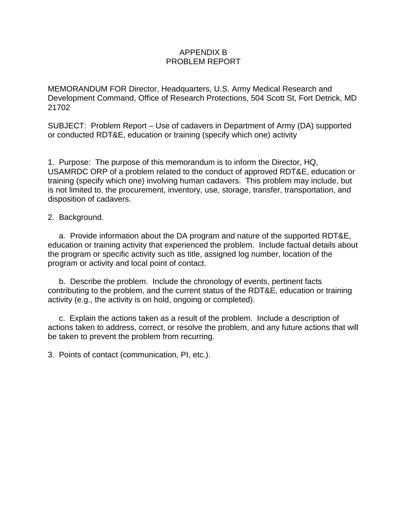### APPENDIX B PROBLEM REPORT

MEMORANDUM FOR Director, Headquarters, U.S. Army Medical Research and Development Command, Office of Research Protections, 504 Scott St, Fort Detrick, MD 21702

SUBJECT: Problem Report – Use of cadavers in Department of Army (DA) supported or conducted RDT&E, education or training (specify which one) activity

1. Purpose: The purpose of this memorandum is to inform the Director, HQ, USAMRDC ORP of a problem related to the conduct of approved RDT&E, education or training (specify which one) involving human cadavers. This problem may include, but is not limited to, the procurement, inventory, use, storage, transfer, transportation, and disposition of cadavers.

### 2. Background.

 a. Provide information about the DA program and nature of the supported RDT&E, education or training activity that experienced the problem. Include factual details about the program or specific activity such as title, assigned log number, location of the program or activity and local point of contact.

 b. Describe the problem. Include the chronology of events, pertinent facts contributing to the problem, and the current status of the RDT&E, education or training activity (e.g., the activity is on hold, ongoing or completed).

 c. Explain the actions taken as a result of the problem. Include a description of actions taken to address, correct, or resolve the problem, and any future actions that will be taken to prevent the problem from recurring.

3. Points of contact (communication, PI, etc.).